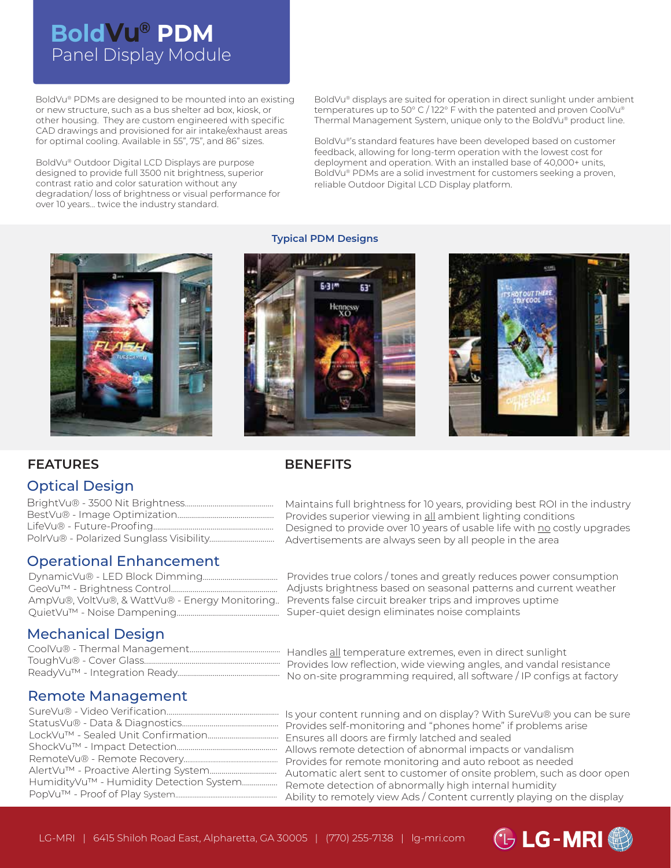# Panel Display Module **BoldVu® PDM**

BoldVu® PDMs are designed to be mounted into an existing or new structure, such as a bus shelter ad box, kiosk, or other housing. They are custom engineered with specific CAD drawings and provisioned for air intake/exhaust areas for optimal cooling. Available in 55", 75", and 86" sizes.

BoldVu® Outdoor Digital LCD Displays are purpose designed to provide full 3500 nit brightness, superior contrast ratio and color saturation without any degradation/ loss of brightness or visual performance for over 10 years... twice the industry standard.

BoldVu® displays are suited for operation in direct sunlight under ambient temperatures up to 50° C / 122° F with the patented and proven CoolVu® Thermal Management System, unique only to the BoldVu® product line.

BoldVu®'s standard features have been developed based on customer feedback, allowing for long-term operation with the lowest cost for deployment and operation. With an installed base of 40,000+ units, BoldVu® PDMs are a solid investment for customers seeking a proven, reliable Outdoor Digital LCD Display platform.



#### **Typical PDM Designs**



**BENEFITS**



### **FEATURES**

### Optical Design

### Operational Enhancement

| AmpVu®, VoltVu®, & WattVu® - Energy Monitoring |
|------------------------------------------------|
|                                                |

Maintains full brightness for 10 years, providing best ROI in the industry Provides superior viewing in all ambient lighting conditions Designed to provide over 10 years of usable life with no costly upgrades Advertisements are always seen by all people in the area

Provides true colors / tones and greatly reduces power consumption Adjusts brightness based on seasonal patterns and current weather Prevents false circuit breaker trips and improves uptime Super-quiet design eliminates noise complaints

### Mechanical Design

Handles all temperature extremes, even in direct sunlight Provides low reflection, wide viewing angles, and vandal resistance No on-site programming required, all software / IP configs at factory

### Remote Management

| HumidityVu™ - Humidity Detection System |
|-----------------------------------------|
|                                         |
|                                         |

<sup>....</sup> Is your content running and on display? With SureVu® you can be sure Provides self-monitoring and "phones home" if problems arise .... Ensures all doors are firmly latched and sealed Allows remote detection of abnormal impacts or vandalism Provides for remote monitoring and auto reboot as needed Automatic alert sent to customer of onsite problem, such as door open Remote detection of abnormally high internal humidity .... Ability to remotely view Ads / Content currently playing on the display

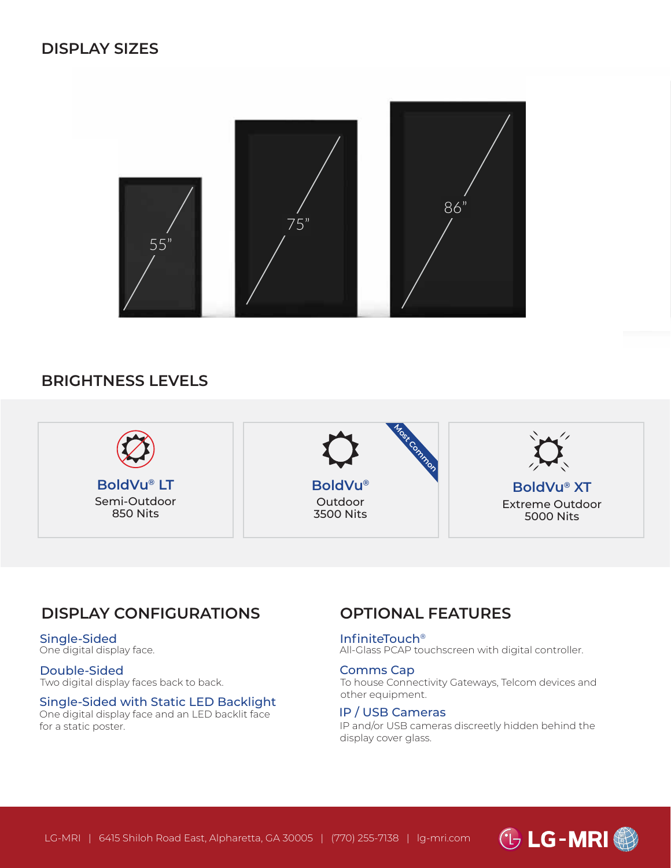

## **BRIGHTNESS LEVELS**



## **DISPLAY CONFIGURATIONS**

#### Single-Sided One digital display face.

#### Double-Sided Two digital display faces back to back.

#### Single-Sided with Static LED Backlight

One digital display face and an LED backlit face for a static poster.

## **OPTIONAL FEATURES**

#### InfiniteTouch®

All-Glass PCAP touchscreen with digital controller.

#### Comms Cap

To house Connectivity Gateways, Telcom devices and other equipment.

#### IP / USB Cameras

IP and/or USB cameras discreetly hidden behind the display cover glass.

<sup>1</sup> LG-MRI 4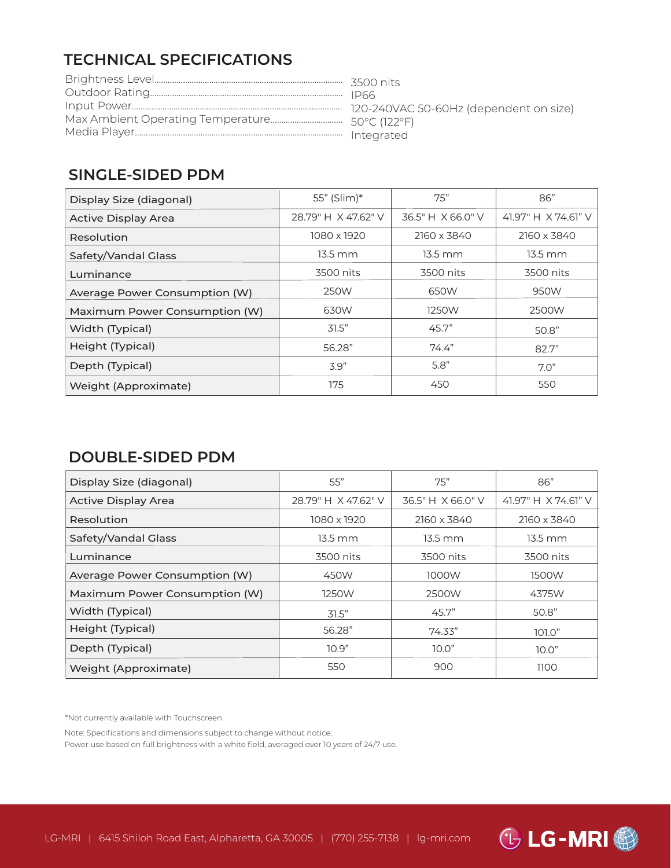## **TECHNICAL SPECIFICATIONS**

## **SINGLE-SIDED PDM**

| Display Size (diagonal)       | 55" (Slim)*         | 75"               | 86"                 |
|-------------------------------|---------------------|-------------------|---------------------|
| <b>Active Display Area</b>    | 28.79" H X 47.62" V | 36.5" H X 66.0" V | 41.97" H X 74.61" V |
| Resolution                    | 1080 x 1920         | 2160 x 3840       | 2160 x 3840         |
| Safety/Vandal Glass           | 13.5 mm             | $13.5 \text{ mm}$ | $13.5 \text{ mm}$   |
| Luminance                     | 3500 nits           | 3500 nits         | 3500 nits           |
| Average Power Consumption (W) | 250W                | 650W              | 950W                |
| Maximum Power Consumption (W) | 630W                | 1250W             | 2500W               |
| Width (Typical)               | 31.5"               | 45.7"             | 50.8"               |
| Height (Typical)              | 56.28"              | 74.4"             | 82.7"               |
| Depth (Typical)               | 3.9"                | 5.8"              | 7.0"                |
| Weight (Approximate)          | 175                 | 450               | 550                 |

## **DOUBLE-SIDED PDM**

| Display Size (diagonal)       | 55"                 | 75"               | 86"                 |
|-------------------------------|---------------------|-------------------|---------------------|
| <b>Active Display Area</b>    | 28.79" H X 47.62" V | 36.5" H X 66.0" V | 41.97" H X 74.61" V |
| Resolution                    | 1080 x 1920         | 2160 x 3840       | 2160 x 3840         |
| Safety/Vandal Glass           | 13.5 mm             | $13.5 \text{ mm}$ | 13.5 mm             |
| Luminance                     | 3500 nits           | 3500 nits         | 3500 nits           |
| Average Power Consumption (W) | 450W                | 1000W             | 1500W               |
| Maximum Power Consumption (W) | 1250W               | 2500W             | 4375W               |
| Width (Typical)               | 31.5"               | 45.7"             | 50.8"               |
| Height (Typical)              | 56.28"              | 74.33"            | 101.0"              |
| Depth (Typical)               | 10.9"               | 10.0"             | 10.0"               |
| Weight (Approximate)          | 550                 | 900               | 1100                |

\*Not currently available with Touchscreen.

Note: Specifications and dimensions subject to change without notice.

Power use based on full brightness with a white field, averaged over 10 years of 24/7 use.